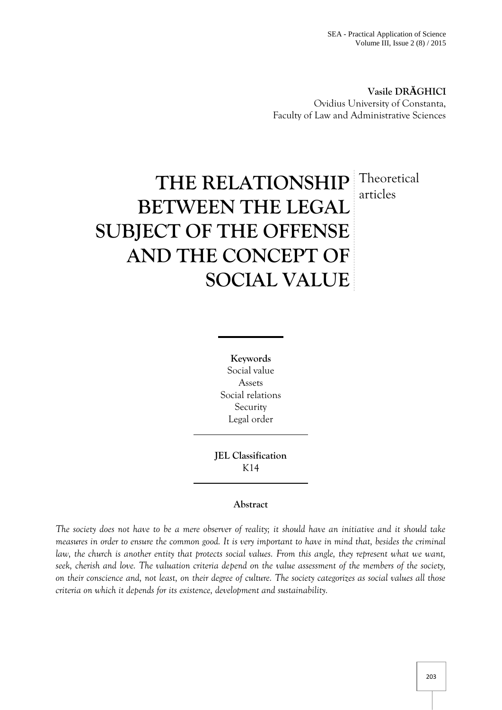**Vasile DR GHICI** Ovidius University of Constanta, Faculty of Law and Administrative Sciences

# **THE RELATIONSHIP** Theoretical **BETWEEN THE LEGAL SUBJECT OF THE OFFENSE AND THE CONCEPT OF SOCIAL VALUE** articles

**Keywords** Social value Assets Social relations Security Legal order

**JEL Classification** K14

## **Abstract**

*The society does not have to be a mere observer of reality; it should have an initiative and it should take measures in order to ensure the common good. It is very important to have in mind that, besides the criminal law, the church is another entity that protects social values. From this angle, they represent what we want, seek, cherish and love. The valuation criteria depend on the value assessment of the members of the society, on their conscience and, not least, on their degree of culture. The society categorizes as social values all those criteria on which it depends for its existence, development and sustainability.*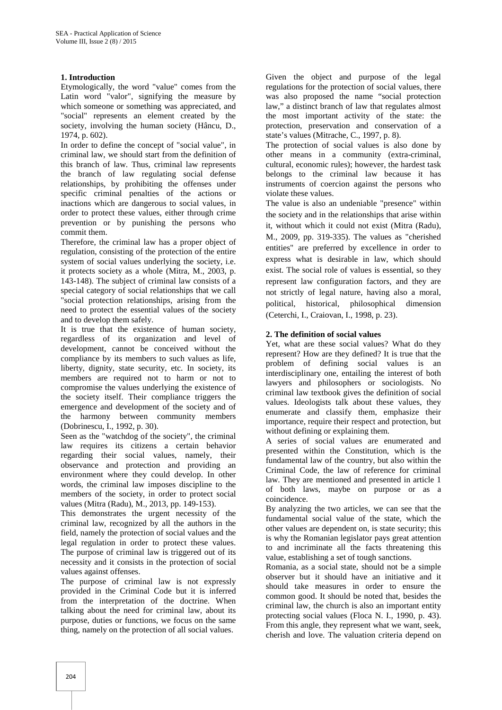### **1. Introduction**

Etymologically, the word "value" comes from the Latin word "valor", signifying the measure by which someone or something was appreciated, and "social" represents an element created by the society, involving the human society (Hâncu, D., 1974, p. 602).

In order to define the concept of "social value", in criminal law, we should start from the definition of this branch of law. Thus, criminal law represents the branch of law regulating social defense relationships, by prohibiting the offenses under specific criminal penalties of the actions or inactions which are dangerous to social values, in order to protect these values, either through crime prevention or by punishing the persons who commit them.

Therefore, the criminal law has a proper object of regulation, consisting of the protection of the entire system of social values underlying the society, i.e. it protects society as a whole (Mitra, M., 2003, p. 143-148). The subject of criminal law consists of a special category of social relationships that we call "social protection relationships, arising from the need to protect the essential values of the society and to develop them safely.

It is true that the existence of human society, regardless of its organization and level of development, cannot be conceived without the compliance by its members to such values as life, liberty, dignity, state security, etc. In society, its members are required not to harm or not to compromise the values underlying the existence of the society itself. Their compliance triggers the emergence and development of the society and of the harmony between community members (Dobrinescu, I., 1992, p. 30).

Seen as the "watchdog of the society", the criminal law requires its citizens a certain behavior regarding their social values, namely, their observance and protection and providing an environment where they could develop. In other words, the criminal law imposes discipline to the members of the society, in order to protect social values (Mitra (Radu), M., 2013, pp. 149-153).

This demonstrates the urgent necessity of the criminal law, recognized by all the authors in the field, namely the protection of social values and the legal regulation in order to protect these values. The purpose of criminal law is triggered out of its necessity and it consists in the protection of social values against offenses.

The purpose of criminal law is not expressly provided in the Criminal Code but it is inferred from the interpretation of the doctrine. When talking about the need for criminal law, about its purpose, duties or functions, we focus on the same thing, namely on the protection of all social values.

Given the object and purpose of the legal regulations for the protection of social values, there was also proposed the name "social protection law," a distinct branch of law that regulates almost the most important activity of the state: the protection, preservation and conservation of a state's values (Mitrache, C., 1997, p. 8).

The protection of social values is also done by other means in a community (extra-criminal, cultural, economic rules); however, the hardest task belongs to the criminal law because it has instruments of coercion against the persons who violate these values.

The value is also an undeniable "presence" within the society and in the relationships that arise within it, without which it could not exist (Mitra (Radu), M., 2009*,* pp. 319-335). The values as "cherished entities" are preferred by excellence in order to express what is desirable in law, which should exist. The social role of values is essential, so they represent law configuration factors, and they are not strictly of legal nature, having also a moral, political, historical, philosophical dimension (Ceterchi, I., Craiovan, I., 1998, p. 23).

### **2. The definition of social values**

Yet, what are these social values? What do they represent? How are they defined? It is true that the problem of defining social values is an interdisciplinary one, entailing the interest of both lawyers and philosophers or sociologists. No criminal law textbook gives the definition of social values. Ideologists talk about these values, they enumerate and classify them, emphasize their importance, require their respect and protection, but without defining or explaining them.

A series of social values are enumerated and presented within the Constitution, which is the fundamental law of the country, but also within the Criminal Code, the law of reference for criminal law. They are mentioned and presented in article 1 of both laws, maybe on purpose or as a coincidence.

By analyzing the two articles, we can see that the fundamental social value of the state, which the other values are dependent on, is state security; this is why the Romanian legislator pays great attention to and incriminate all the facts threatening this value, establishing a set of tough sanctions.

Romania, as a social state, should not be a simple observer but it should have an initiative and it should take measures in order to ensure the common good. It should be noted that, besides the criminal law, the church is also an important entity protecting social values (Floca N. I., 1990, p. 43). From this angle, they represent what we want, seek, cherish and love. The valuation criteria depend on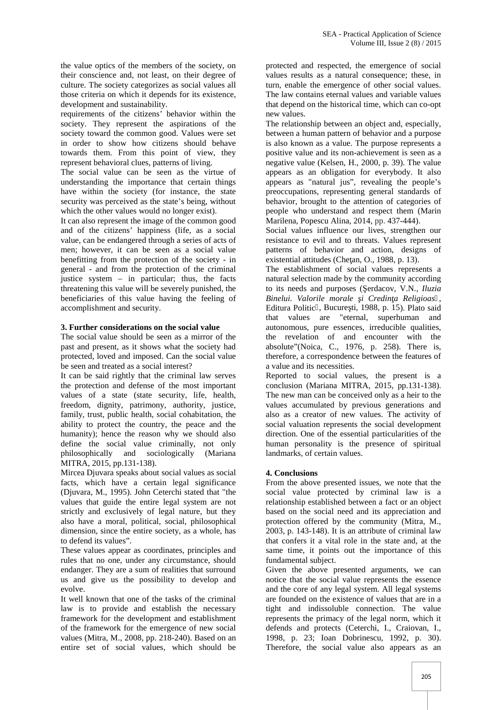the value optics of the members of the society, on their conscience and, not least, on their degree of culture. The society categorizes as social values all those criteria on which it depends for its existence, development and sustainability.

requirements of the citizens' behavior within the society. They represent the aspirations of the society toward the common good. Values were set in order to show how citizens should behave towards them. From this point of view, they represent behavioral clues, patterns of living.

The social value can be seen as the virtue of understanding the importance that certain things have within the society (for instance, the state security was perceived as the state's being, without which the other values would no longer exist).

It can also represent the image of the common good and of the citizens' happiness (life, as a social value, can be endangered through a series of acts of men; however, it can be seen as a social value benefitting from the protection of the society - in general - and from the protection of the criminal justice system – in particular; thus, the facts threatening this value will be severely punished, the beneficiaries of this value having the feeling of accomplishment and security.

#### **3. Further considerations on the social value**

The social value should be seen as a mirror of the past and present, as it shows what the society had protected, loved and imposed. Can the social value be seen and treated as a social interest?

It can be said rightly that the criminal law serves the protection and defense of the most important values of a state (state security, life, health, freedom, dignity, patrimony, authority, justice, family, trust, public health, social cohabitation, the ability to protect the country, the peace and the humanity); hence the reason why we should also define the social value criminally, not only philosophically and sociologically (Mariana MITRA, 2015, pp.131-138).

Mircea Djuvara speaks about social values as social facts, which have a certain legal significance (Djuvara, M., 1995). John Ceterchi stated that "the values that guide the entire legal system are not strictly and exclusively of legal nature, but they also have a moral, political, social, philosophical dimension, since the entire society, as a whole, has to defend its values".

These values appear as coordinates, principles and rules that no one, under any circumstance, should endanger. They are a sum of realities that surround us and give us the possibility to develop and evolve.

It well known that one of the tasks of the criminal law is to provide and establish the necessary framework for the development and establishment of the framework for the emergence of new social values (Mitra, M., 2008, pp. 218-240). Based on an entire set of social values, which should be

protected and respected, the emergence of social values results as a natural consequence; these, in turn, enable the emergence of other social values. The law contains eternal values and variable values that depend on the historical time, which can co-opt new values.

The relationship between an object and, especially, between a human pattern of behavior and a purpose is also known as a value. The purpose represents a positive value and its non-achievement is seen as a negative value (Kelsen, H., 2000, p. 39). The value appears as an obligation for everybody. It also appears as "natural jus", revealing the people's preoccupations, representing general standards of behavior, brought to the attention of categories of people who understand and respect them (Marin Marilena, Popescu Alina, 2014, pp. 437-444).

Social values influence our lives, strengthen our resistance to evil and to threats. Values represent patterns of behavior and action, designs of existential attitudes (Che an, O., 1988, p. 13).

The establishment of social values represents a natural selection made by the community according to its needs and purposes (erdacov, V.N., *Iluzia* Binelui. Valorile morale *i* Credin a Religioas, Editura Politic, Bucure ti, 1988, p. 15). Plato said that values are "eternal, superhuman and autonomous, pure essences, irreducible qualities, the revelation of and encounter with the absolute"(Noica, C., 1976, p. 258). There is, therefore, a correspondence between the features of a value and its necessities.

Reported to social values, the present is a conclusion (Mariana MITRA, 2015, pp.131-138). The new man can be conceived only as a heir to the values accumulated by previous generations and also as a creator of new values. The activity of social valuation represents the social development direction. One of the essential particularities of the human personality is the presence of spiritual landmarks, of certain values.

### **4. Conclusions**

From the above presented issues, we note that the social value protected by criminal law is a relationship established between a fact or an object based on the social need and its appreciation and protection offered by the community (Mitra, M., 2003, p. 143-148). It is an attribute of criminal law that confers it a vital role in the state and, at the same time, it points out the importance of this fundamental subject.

Given the above presented arguments, we can notice that the social value represents the essence and the core of any legal system. All legal systems are founded on the existence of values that are in a tight and indissoluble connection. The value represents the primacy of the legal norm, which it defends and protects (Ceterchi, I., Craiovan, I., 1998, p. 23; Ioan Dobrinescu, 1992, p. 30). Therefore, the social value also appears as an